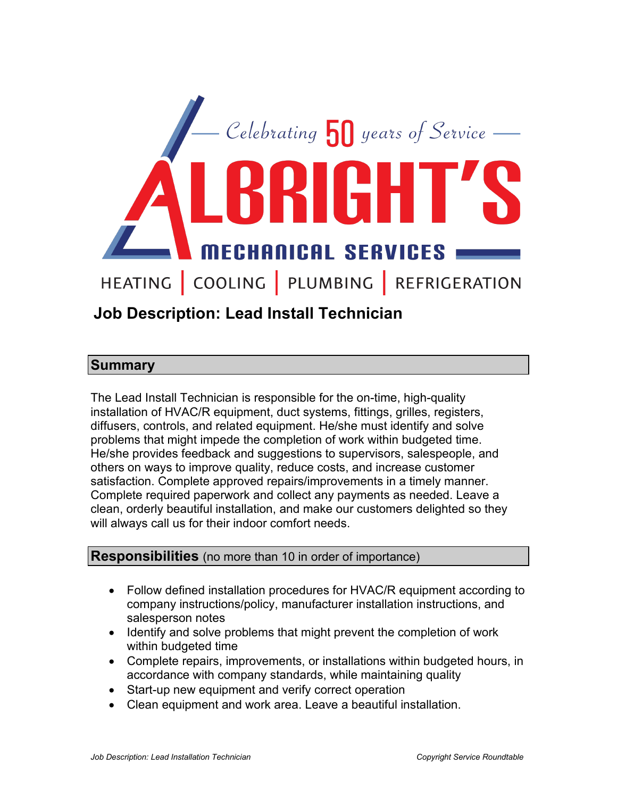

# **Job Description: Lead Install Technician**

### **Summary**

The Lead Install Technician is responsible for the on-time, high-quality installation of HVAC/R equipment, duct systems, fittings, grilles, registers, diffusers, controls, and related equipment. He/she must identify and solve problems that might impede the completion of work within budgeted time. He/she provides feedback and suggestions to supervisors, salespeople, and others on ways to improve quality, reduce costs, and increase customer satisfaction. Complete approved repairs/improvements in a timely manner. Complete required paperwork and collect any payments as needed. Leave a clean, orderly beautiful installation, and make our customers delighted so they will always call us for their indoor comfort needs.

#### **Responsibilities** (no more than 10 in order of importance)

- Follow defined installation procedures for HVAC/R equipment according to company instructions/policy, manufacturer installation instructions, and salesperson notes
- Identify and solve problems that might prevent the completion of work within budgeted time
- Complete repairs, improvements, or installations within budgeted hours, in accordance with company standards, while maintaining quality
- Start-up new equipment and verify correct operation
- Clean equipment and work area. Leave a beautiful installation.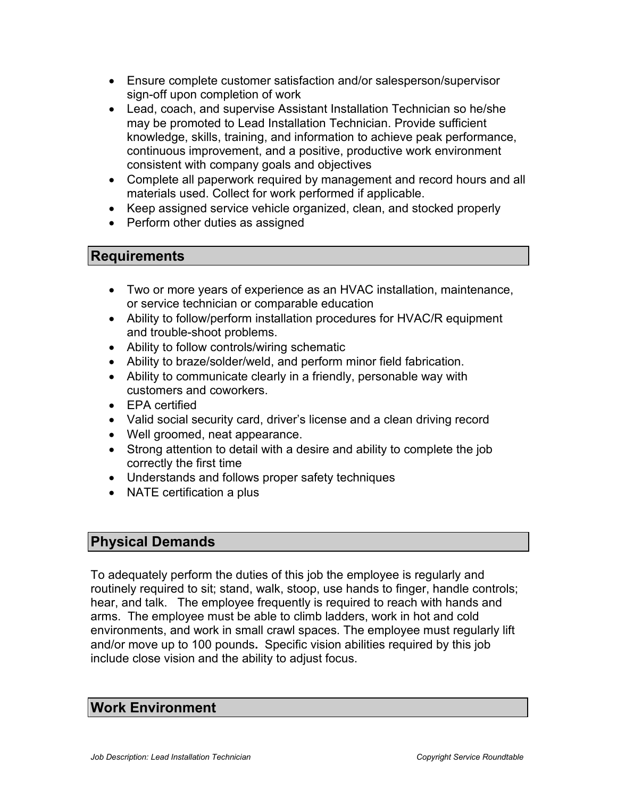- Ensure complete customer satisfaction and/or salesperson/supervisor sign-off upon completion of work
- Lead, coach, and supervise Assistant Installation Technician so he/she may be promoted to Lead Installation Technician. Provide sufficient knowledge, skills, training, and information to achieve peak performance, continuous improvement, and a positive, productive work environment consistent with company goals and objectives
- Complete all paperwork required by management and record hours and all materials used. Collect for work performed if applicable.
- Keep assigned service vehicle organized, clean, and stocked properly
- Perform other duties as assigned

## **Requirements**

- Two or more years of experience as an HVAC installation, maintenance, or service technician or comparable education
- Ability to follow/perform installation procedures for HVAC/R equipment and trouble-shoot problems.
- Ability to follow controls/wiring schematic
- Ability to braze/solder/weld, and perform minor field fabrication.
- Ability to communicate clearly in a friendly, personable way with customers and coworkers.
- EPA certified
- Valid social security card, driver's license and a clean driving record
- Well groomed, neat appearance.
- Strong attention to detail with a desire and ability to complete the job correctly the first time
- Understands and follows proper safety techniques
- NATE certification a plus

# **Physical Demands**

To adequately perform the duties of this job the employee is regularly and routinely required to sit; stand, walk, stoop, use hands to finger, handle controls; hear, and talk. The employee frequently is required to reach with hands and arms. The employee must be able to climb ladders, work in hot and cold environments, and work in small crawl spaces. The employee must regularly lift and/or move up to 100 pounds**.** Specific vision abilities required by this job include close vision and the ability to adjust focus.

### **Work Environment**